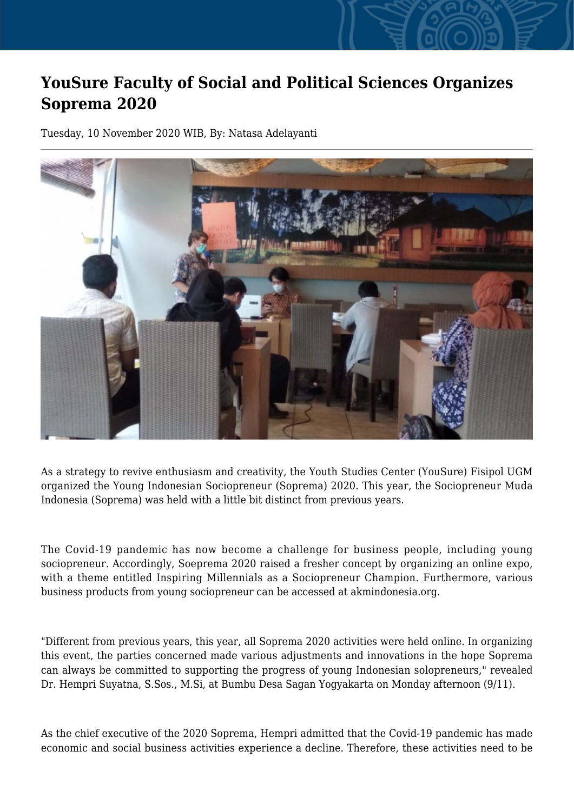## **YouSure Faculty of Social and Political Sciences Organizes Soprema 2020**

Tuesday, 10 November 2020 WIB, By: Natasa Adelayanti



As a strategy to revive enthusiasm and creativity, the Youth Studies Center (YouSure) Fisipol UGM organized the Young Indonesian Sociopreneur (Soprema) 2020. This year, the Sociopreneur Muda Indonesia (Soprema) was held with a little bit distinct from previous years.

The Covid-19 pandemic has now become a challenge for business people, including young sociopreneur. Accordingly, Soeprema 2020 raised a fresher concept by organizing an online expo, with a theme entitled Inspiring Millennials as a Sociopreneur Champion. Furthermore, various business products from young sociopreneur can be accessed at akmindonesia.org.

"Different from previous years, this year, all Soprema 2020 activities were held online. In organizing this event, the parties concerned made various adjustments and innovations in the hope Soprema can always be committed to supporting the progress of young Indonesian solopreneurs," revealed Dr. Hempri Suyatna, S.Sos., M.Si, at Bumbu Desa Sagan Yogyakarta on Monday afternoon (9/11).

As the chief executive of the 2020 Soprema, Hempri admitted that the Covid-19 pandemic has made economic and social business activities experience a decline. Therefore, these activities need to be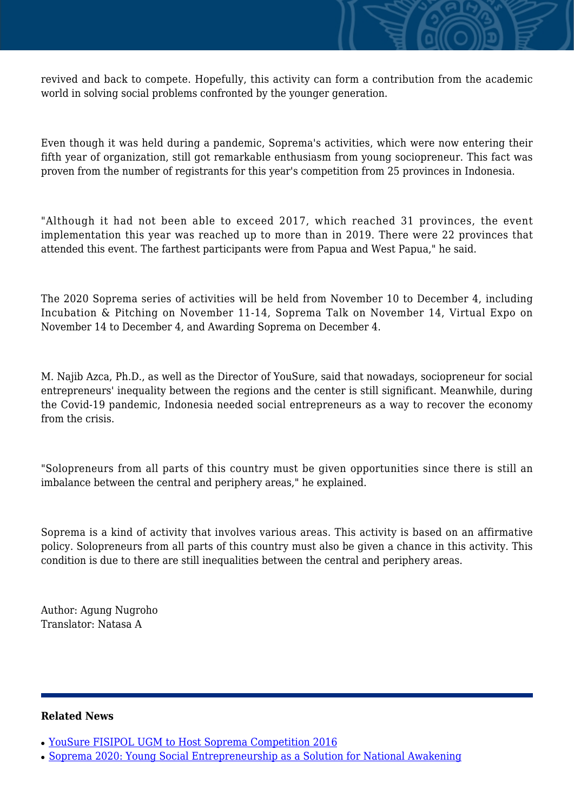

Even though it was held during a pandemic, Soprema's activities, which were now entering their fifth year of organization, still got remarkable enthusiasm from young sociopreneur. This fact was proven from the number of registrants for this year's competition from 25 provinces in Indonesia.

"Although it had not been able to exceed 2017, which reached 31 provinces, the event implementation this year was reached up to more than in 2019. There were 22 provinces that attended this event. The farthest participants were from Papua and West Papua," he said.

The 2020 Soprema series of activities will be held from November 10 to December 4, including Incubation & Pitching on November 11-14, Soprema Talk on November 14, Virtual Expo on November 14 to December 4, and Awarding Soprema on December 4.

M. Najib Azca, Ph.D., as well as the Director of YouSure, said that nowadays, sociopreneur for social entrepreneurs' inequality between the regions and the center is still significant. Meanwhile, during the Covid-19 pandemic, Indonesia needed social entrepreneurs as a way to recover the economy from the crisis.

"Solopreneurs from all parts of this country must be given opportunities since there is still an imbalance between the central and periphery areas," he explained.

Soprema is a kind of activity that involves various areas. This activity is based on an affirmative policy. Solopreneurs from all parts of this country must also be given a chance in this activity. This condition is due to there are still inequalities between the central and periphery areas.

Author: Agung Nugroho Translator: Natasa A

## **Related News**

- [YouSure FISIPOL UGM to Host Soprema Competition 2016](http://ugm.ac.id/www.ugm.ac.id//en/news/20335-yousure-faculty-of-social-and-political-sciences-organizes-soprema-2020)
- [Soprema 2020: Young Social Entrepreneurship as a Solution for National Awakening](http://ugm.ac.id/www.ugm.ac.id//en/news/18734-social-and-political-sciences-ugm-organises-social-impact-festival)